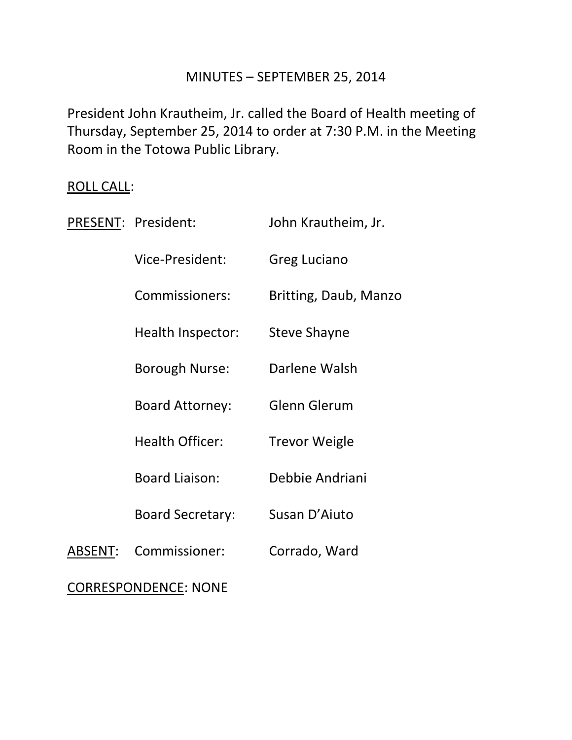### MINUTES – SEPTEMBER 25, 2014

President John Krautheim, Jr. called the Board of Health meeting of Thursday, September 25, 2014 to order at 7:30 P.M. in the Meeting Room in the Totowa Public Library.

# ROLL CALL:

|                             | PRESENT: President:     | John Krautheim, Jr.   |
|-----------------------------|-------------------------|-----------------------|
|                             | Vice-President:         | Greg Luciano          |
|                             | Commissioners:          | Britting, Daub, Manzo |
|                             | Health Inspector:       | Steve Shayne          |
|                             | <b>Borough Nurse:</b>   | Darlene Walsh         |
|                             | <b>Board Attorney:</b>  | <b>Glenn Glerum</b>   |
|                             | <b>Health Officer:</b>  | <b>Trevor Weigle</b>  |
|                             | <b>Board Liaison:</b>   | Debbie Andriani       |
|                             | <b>Board Secretary:</b> | Susan D'Aiuto         |
| <b>ABSENT:</b>              | Commissioner:           | Corrado, Ward         |
| <b>CORRESPONDENCE: NONE</b> |                         |                       |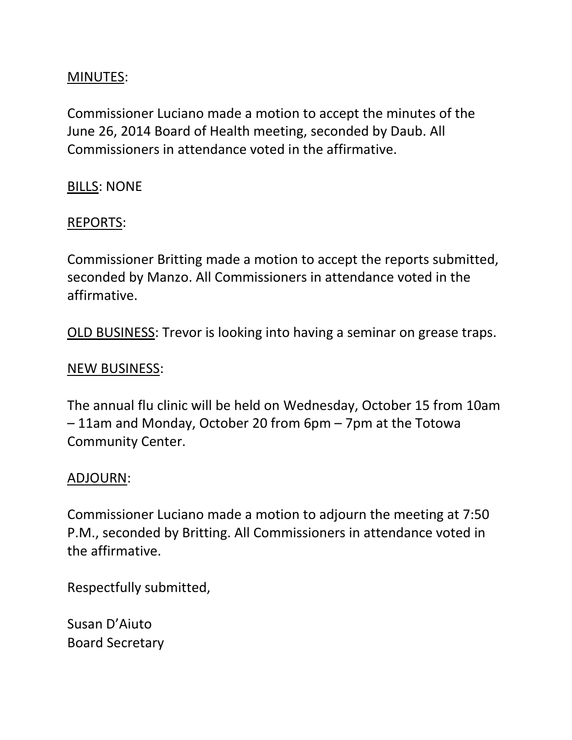## MINUTES:

Commissioner Luciano made a motion to accept the minutes of the June 26, 2014 Board of Health meeting, seconded by Daub. All Commissioners in attendance voted in the affirmative.

BILLS: NONE

### REPORTS:

Commissioner Britting made a motion to accept the reports submitted, seconded by Manzo. All Commissioners in attendance voted in the affirmative.

OLD BUSINESS: Trevor is looking into having a seminar on grease traps.

#### NEW BUSINESS:

The annual flu clinic will be held on Wednesday, October 15 from 10am – 11am and Monday, October 20 from 6pm – 7pm at the Totowa Community Center.

#### ADJOURN:

Commissioner Luciano made a motion to adjourn the meeting at 7:50 P.M., seconded by Britting. All Commissioners in attendance voted in the affirmative.

Respectfully submitted,

Susan D'Aiuto Board Secretary